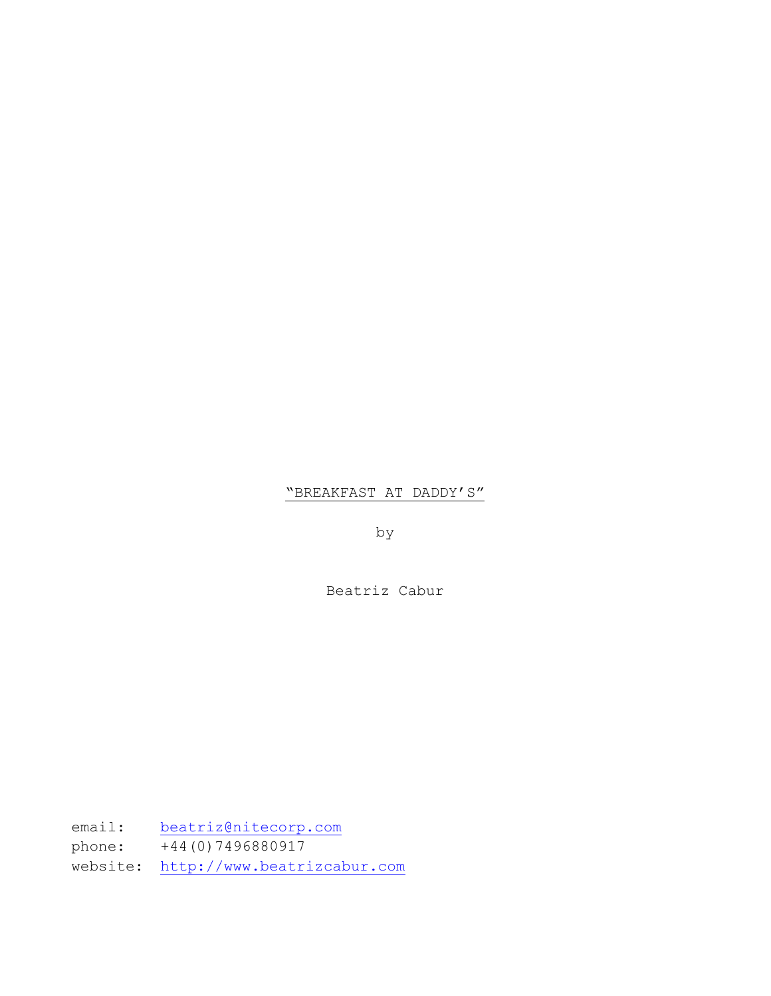# "BREAKFAST AT DADDY'S"

by

Beatriz Cabur

email: [beatriz@nitecorp.com](mailto:beatriz@nitecorp.com) phone: +44(0)7496880917 website: [http://www.beatrizcabur.com](http://www.beatrizcabur.com/)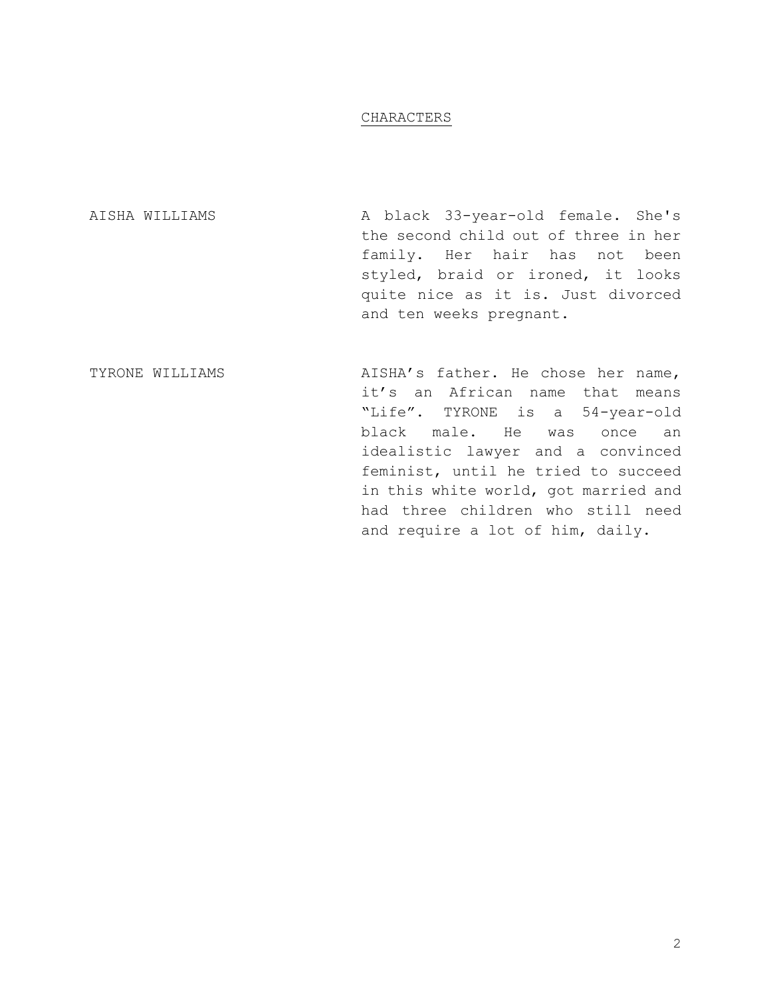## CHARACTERS

| A black 33-year-old female. She's    |
|--------------------------------------|
| the second child out of three in her |
| family. Her hair has not been        |
| styled, braid or ironed, it looks    |
| quite nice as it is. Just divorced   |
| and ten weeks pregnant.              |
|                                      |

TYRONE WILLIAMS **AISHA's father.** He chose her name, it's an African name that means "Life". TYRONE is a 54-year-old black male. He was once an idealistic lawyer and a convinced feminist, until he tried to succeed in this white world, got married and had three children who still need and require a lot of him, daily.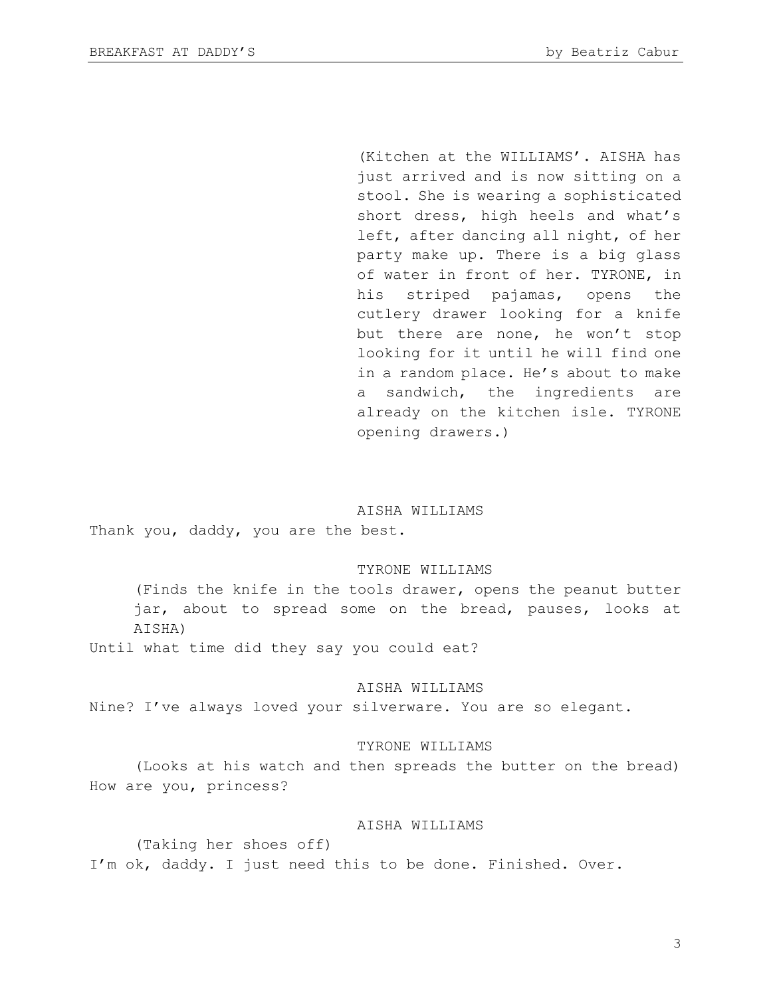(Kitchen at the WILLIAMS'. AISHA has just arrived and is now sitting on a stool. She is wearing a sophisticated short dress, high heels and what's left, after dancing all night, of her party make up. There is a big glass of water in front of her. TYRONE, in his striped pajamas, opens the cutlery drawer looking for a knife but there are none, he won't stop looking for it until he will find one in a random place. He's about to make a sandwich, the ingredients are already on the kitchen isle. TYRONE opening drawers.)

#### AISHA WILLIAMS

Thank you, daddy, you are the best.

### TYRONE WILLIAMS

(Finds the knife in the tools drawer, opens the peanut butter jar, about to spread some on the bread, pauses, looks at AISHA)

Until what time did they say you could eat?

#### AISHA WILLIAMS

Nine? I've always loved your silverware. You are so elegant.

#### TYRONE WILLIAMS

(Looks at his watch and then spreads the butter on the bread) How are you, princess?

## AISHA WILLIAMS

(Taking her shoes off) I'm ok, daddy. I just need this to be done. Finished. Over.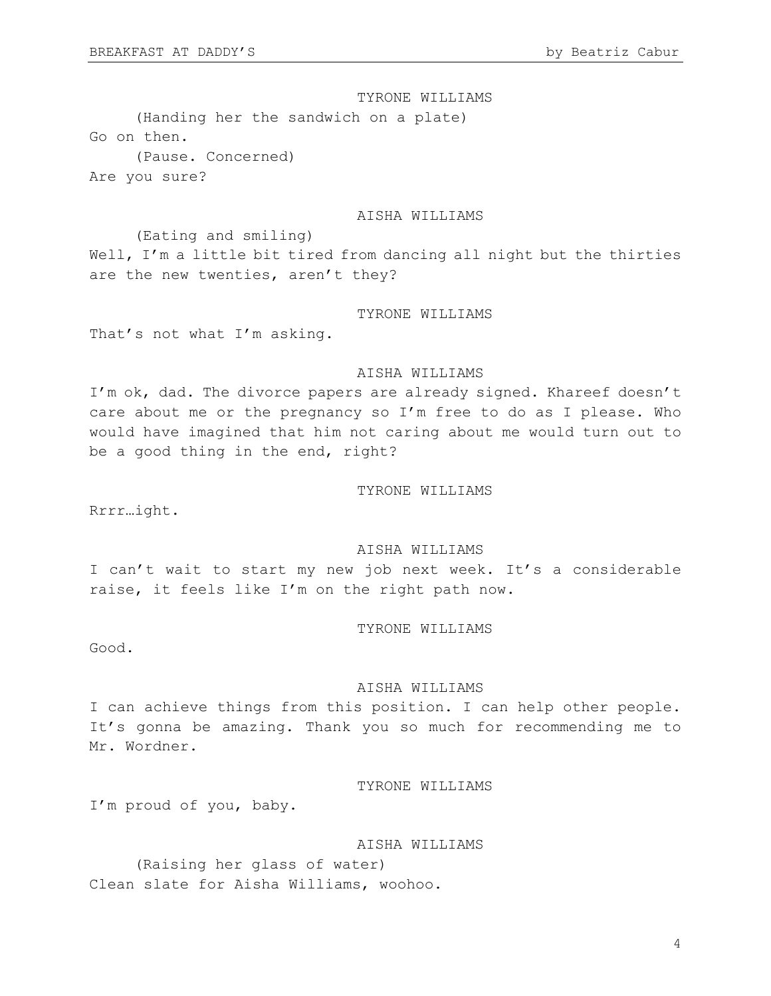TYRONE WILLIAMS

(Handing her the sandwich on a plate) Go on then. (Pause. Concerned) Are you sure?

### AISHA WILLIAMS

(Eating and smiling) Well, I'm a little bit tired from dancing all night but the thirties are the new twenties, aren't they?

### TYRONE WILLIAMS

That's not what I'm asking.

### AISHA WILLIAMS

I'm ok, dad. The divorce papers are already signed. Khareef doesn't care about me or the pregnancy so I'm free to do as I please. Who would have imagined that him not caring about me would turn out to be a good thing in the end, right?

#### TYRONE WILLIAMS

Rrrr…ight.

## AISHA WILLIAMS

I can't wait to start my new job next week. It's a considerable raise, it feels like I'm on the right path now.

### TYRONE WILLIAMS

Good.

#### AISHA WILLIAMS

I can achieve things from this position. I can help other people. It's gonna be amazing. Thank you so much for recommending me to Mr. Wordner.

TYRONE WILLIAMS

I'm proud of you, baby.

#### AISHA WILLIAMS

(Raising her glass of water) Clean slate for Aisha Williams, woohoo.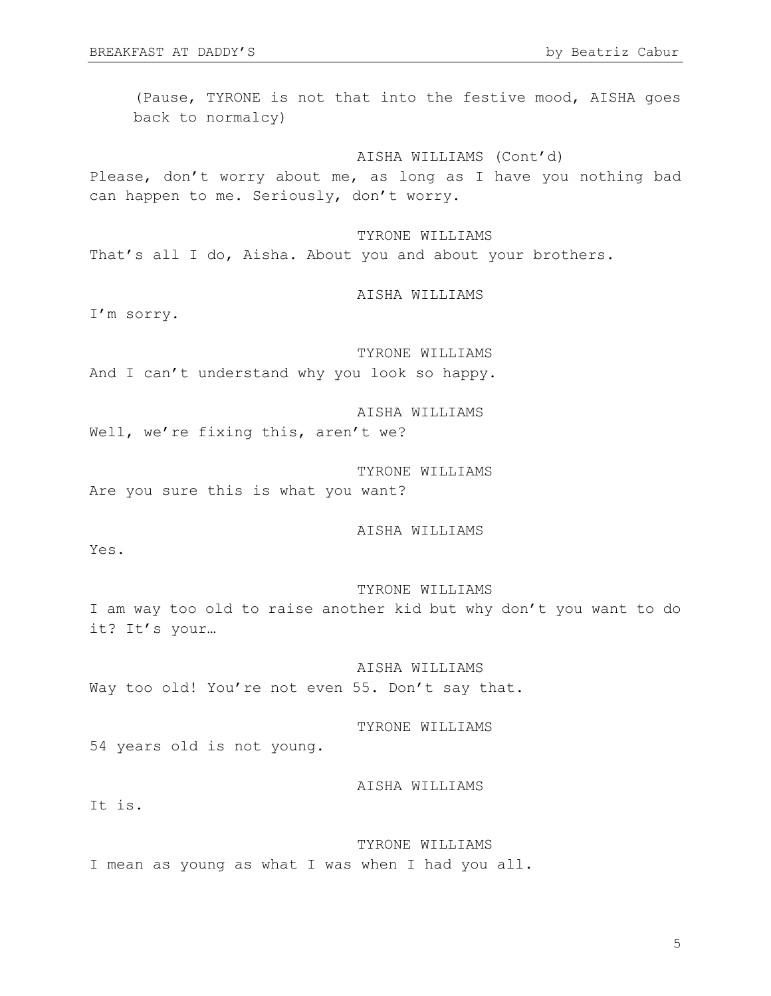(Pause, TYRONE is not that into the festive mood, AISHA goes back to normalcy)

AISHA WILLIAMS (Cont'd) Please, don't worry about me, as long as I have you nothing bad can happen to me. Seriously, don't worry.

TYRONE WILLIAMS That's all I do, Aisha. About you and about your brothers.

AISHA WILLIAMS

I'm sorry.

TYRONE WILLIAMS And I can't understand why you look so happy.

AISHA WILLIAMS Well, we're fixing this, aren't we?

TYRONE WILLIAMS Are you sure this is what you want?

AISHA WILLIAMS

Yes.

### TYRONE WILLIAMS

I am way too old to raise another kid but why don't you want to do it? It's your…

AISHA WILLIAMS Way too old! You're not even 55. Don't say that.

TYRONE WILLIAMS

54 years old is not young.

AISHA WILLIAMS

It is.

TYRONE WILLIAMS I mean as young as what I was when I had you all.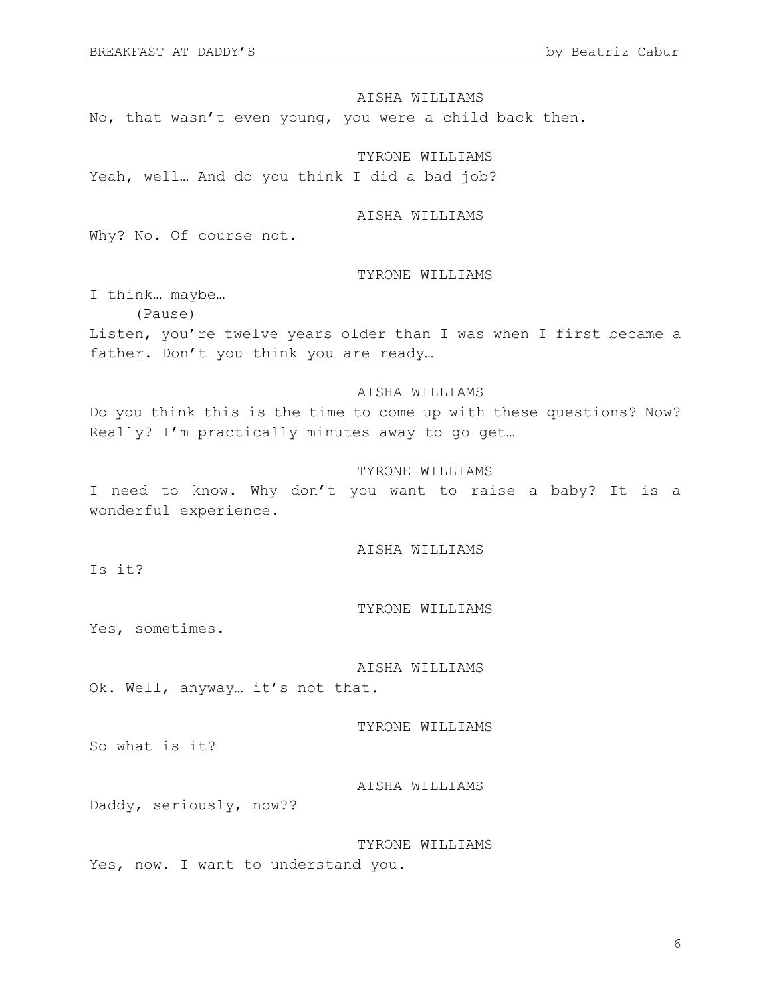AISHA WILLIAMS No, that wasn't even young, you were a child back then.

TYRONE WILLIAMS Yeah, well… And do you think I did a bad job?

## AISHA WILLIAMS

Why? No. Of course not.

#### TYRONE WILLIAMS

I think… maybe… (Pause) Listen, you're twelve years older than I was when I first became a father. Don't you think you are ready…

### AISHA WILLIAMS

Do you think this is the time to come up with these questions? Now? Really? I'm practically minutes away to go get…

#### TYRONE WILLIAMS

I need to know. Why don't you want to raise a baby? It is a wonderful experience.

AISHA WILLIAMS

Is it?

TYRONE WILLIAMS

Yes, sometimes.

AISHA WILLIAMS

Ok. Well, anyway… it's not that.

TYRONE WILLIAMS

So what is it?

AISHA WILLIAMS

Daddy, seriously, now??

TYRONE WILLIAMS Yes, now. I want to understand you.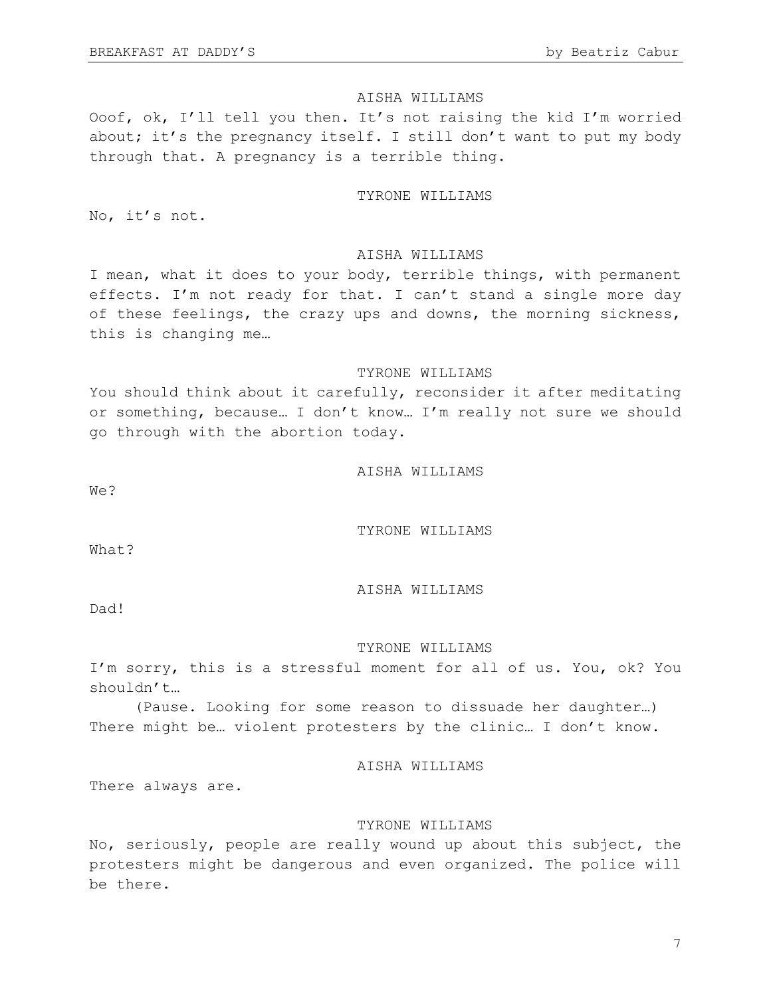Ooof, ok, I'll tell you then. It's not raising the kid I'm worried about; it's the pregnancy itself. I still don't want to put my body through that. A pregnancy is a terrible thing.

### TYRONE WILLIAMS

No, it's not.

### AISHA WILLIAMS

I mean, what it does to your body, terrible things, with permanent effects. I'm not ready for that. I can't stand a single more day of these feelings, the crazy ups and downs, the morning sickness, this is changing me…

#### TYRONE WILLIAMS

You should think about it carefully, reconsider it after meditating or something, because… I don't know… I'm really not sure we should go through with the abortion today.

AISHA WILLIAMS

We?

TYRONE WILLIAMS

What?

AISHA WILLIAMS

Dad!

#### TYRONE WILLIAMS

I'm sorry, this is a stressful moment for all of us. You, ok? You shouldn't…

(Pause. Looking for some reason to dissuade her daughter…) There might be... violent protesters by the clinic... I don't know.

AISHA WILLIAMS

There always are.

### TYRONE WILLIAMS

No, seriously, people are really wound up about this subject, the protesters might be dangerous and even organized. The police will be there.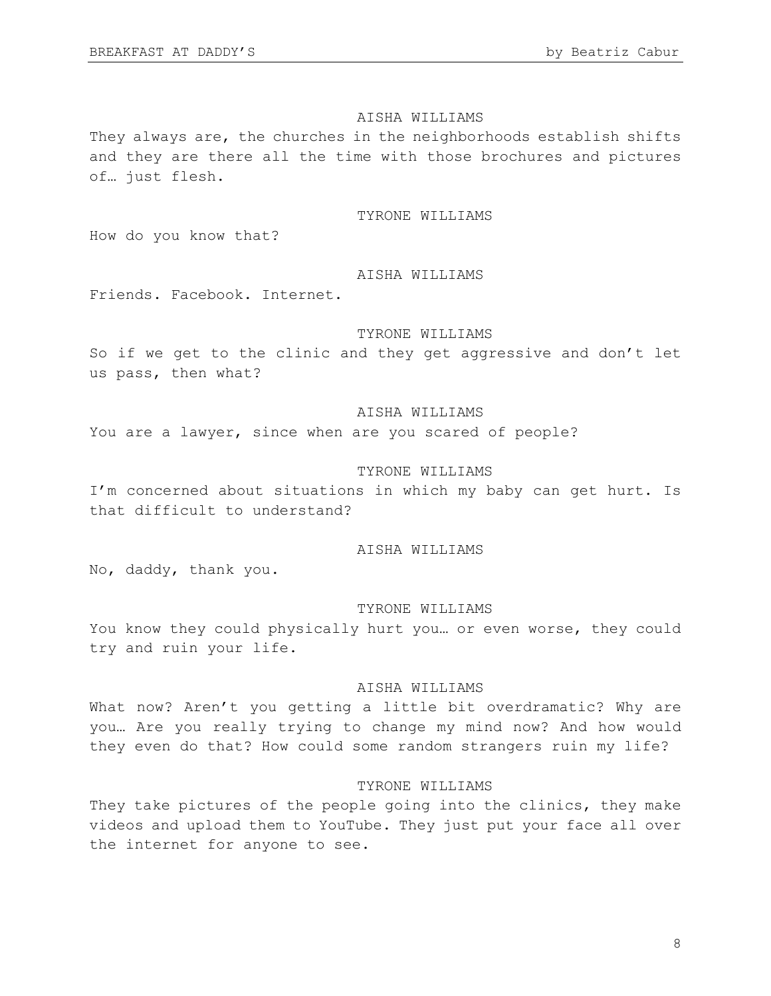They always are, the churches in the neighborhoods establish shifts and they are there all the time with those brochures and pictures of… just flesh.

### TYRONE WILLIAMS

How do you know that?

### AISHA WILLIAMS

Friends. Facebook. Internet.

## TYRONE WILLIAMS

So if we get to the clinic and they get aggressive and don't let us pass, then what?

## AISHA WILLIAMS

You are a lawyer, since when are you scared of people?

### TYRONE WILLIAMS

I'm concerned about situations in which my baby can get hurt. Is that difficult to understand?

## AISHA WILLIAMS

No, daddy, thank you.

#### TYRONE WILLIAMS

You know they could physically hurt you… or even worse, they could try and ruin your life.

### AISHA WILLIAMS

What now? Aren't you getting a little bit overdramatic? Why are you… Are you really trying to change my mind now? And how would they even do that? How could some random strangers ruin my life?

## TYRONE WILLIAMS

They take pictures of the people going into the clinics, they make videos and upload them to YouTube. They just put your face all over the internet for anyone to see.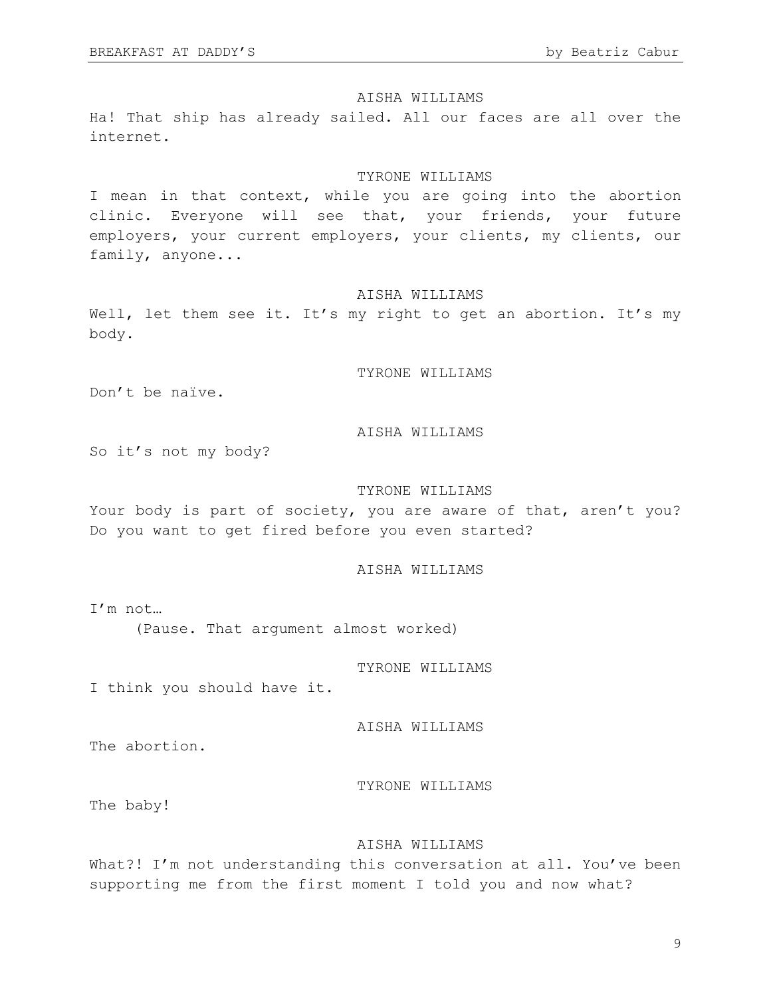Ha! That ship has already sailed. All our faces are all over the internet.

### TYRONE WILLIAMS

I mean in that context, while you are going into the abortion clinic. Everyone will see that, your friends, your future employers, your current employers, your clients, my clients, our family, anyone...

### AISHA WILLIAMS

Well, let them see it. It's my right to get an abortion. It's my body.

TYRONE WILLIAMS

Don't be naïve.

## AISHA WILLIAMS

So it's not my body?

#### TYRONE WILLIAMS

Your body is part of society, you are aware of that, aren't you? Do you want to get fired before you even started?

### AISHA WILLIAMS

I'm not… (Pause. That argument almost worked)

TYRONE WILLIAMS

I think you should have it.

AISHA WILLIAMS

The abortion.

TYRONE WILLIAMS

The baby!

## AISHA WILLIAMS

What?! I'm not understanding this conversation at all. You've been supporting me from the first moment I told you and now what?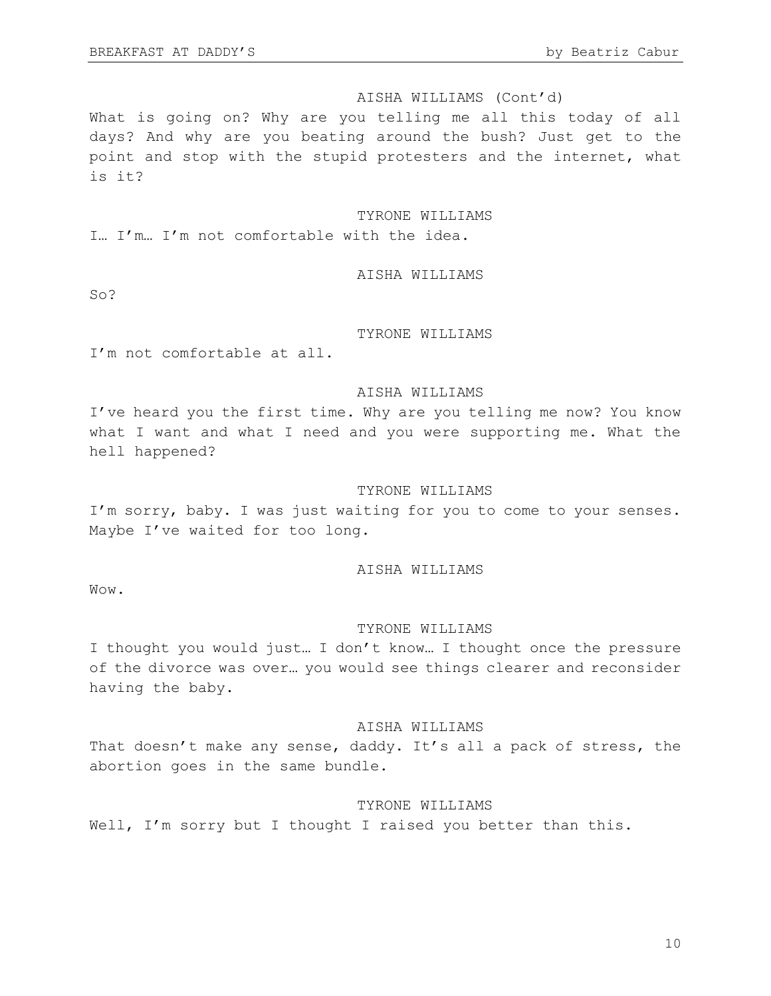### AISHA WILLIAMS (Cont'd)

What is going on? Why are you telling me all this today of all days? And why are you beating around the bush? Just get to the point and stop with the stupid protesters and the internet, what is it?

#### TYRONE WILLIAMS

I… I'm… I'm not comfortable with the idea.

### AISHA WILLIAMS

So?

## TYRONE WILLIAMS

I'm not comfortable at all.

### AISHA WILLIAMS

I've heard you the first time. Why are you telling me now? You know what I want and what I need and you were supporting me. What the hell happened?

#### TYRONE WILLIAMS

I'm sorry, baby. I was just waiting for you to come to your senses. Maybe I've waited for too long.

### AISHA WILLIAMS

Wow.

### TYRONE WILLIAMS

I thought you would just… I don't know… I thought once the pressure of the divorce was over… you would see things clearer and reconsider having the baby.

## AISHA WILLIAMS

That doesn't make any sense, daddy. It's all a pack of stress, the abortion goes in the same bundle.

### TYRONE WILLIAMS

Well, I'm sorry but I thought I raised you better than this.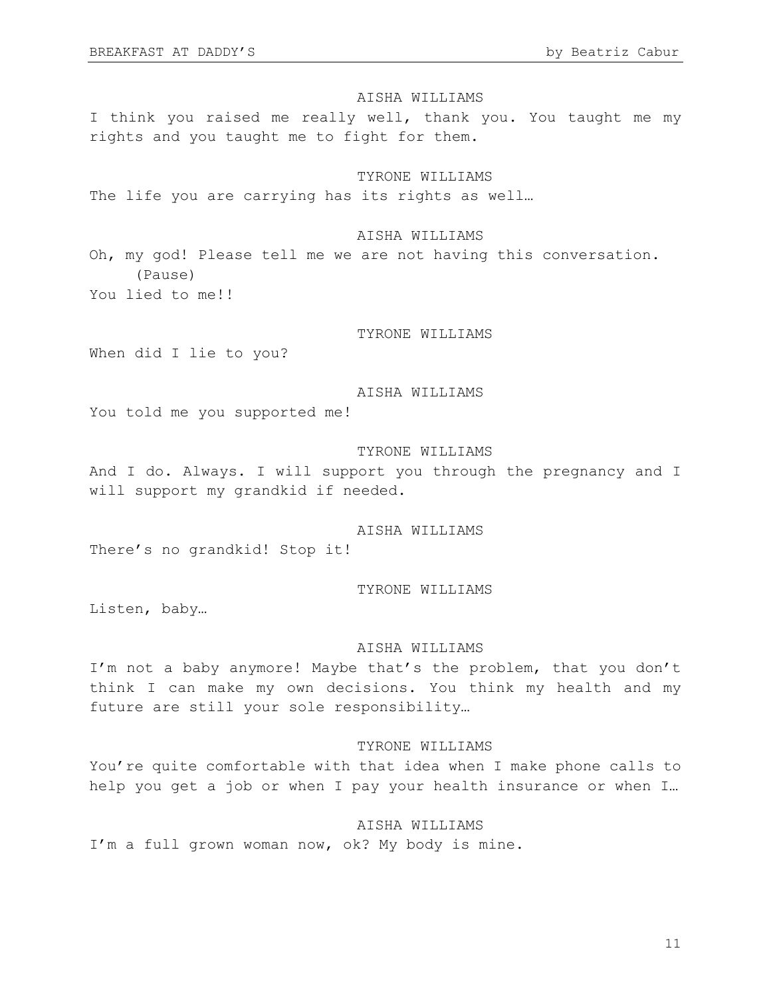I think you raised me really well, thank you. You taught me my rights and you taught me to fight for them.

### TYRONE WILLIAMS

The life you are carrying has its rights as well...

### AISHA WILLIAMS

Oh, my god! Please tell me we are not having this conversation. (Pause) You lied to me!!

## TYRONE WILLIAMS

When did I lie to you?

### AISHA WILLIAMS

You told me you supported me!

#### TYRONE WILLIAMS

And I do. Always. I will support you through the pregnancy and I will support my grandkid if needed.

## AISHA WILLIAMS

There's no grandkid! Stop it!

#### TYRONE WILLIAMS

Listen, baby…

## AISHA WILLIAMS

I'm not a baby anymore! Maybe that's the problem, that you don't think I can make my own decisions. You think my health and my future are still your sole responsibility…

### TYRONE WILLIAMS

You're quite comfortable with that idea when I make phone calls to help you get a job or when I pay your health insurance or when I…

## AISHA WILLIAMS

I'm a full grown woman now, ok? My body is mine.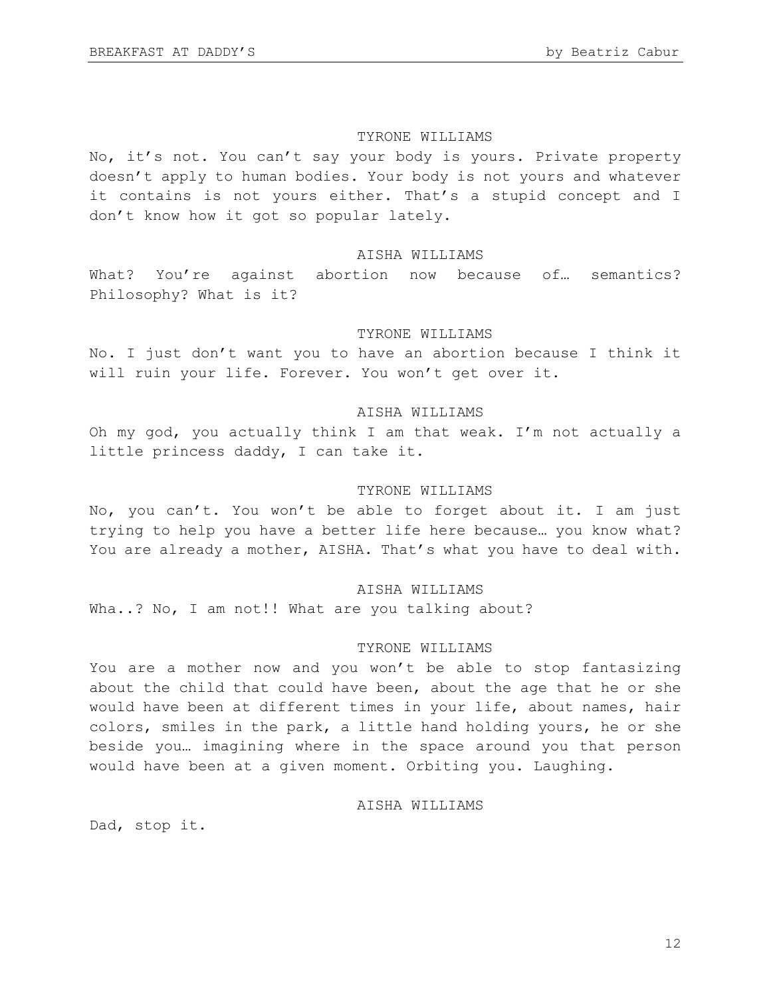#### TYRONE WILLIAMS

No, it's not. You can't say your body is yours. Private property doesn't apply to human bodies. Your body is not yours and whatever it contains is not yours either. That's a stupid concept and I don't know how it got so popular lately.

### AISHA WILLIAMS

What? You're against abortion now because of... semantics? Philosophy? What is it?

## TYRONE WILLIAMS

No. I just don't want you to have an abortion because I think it will ruin your life. Forever. You won't get over it.

### AISHA WILLIAMS

Oh my god, you actually think I am that weak. I'm not actually a little princess daddy, I can take it.

#### TYRONE WILLIAMS

No, you can't. You won't be able to forget about it. I am just trying to help you have a better life here because… you know what? You are already a mother, AISHA. That's what you have to deal with.

### AISHA WILLIAMS

Wha..? No, I am not!! What are you talking about?

### TYRONE WILLIAMS

You are a mother now and you won't be able to stop fantasizing about the child that could have been, about the age that he or she would have been at different times in your life, about names, hair colors, smiles in the park, a little hand holding yours, he or she beside you… imagining where in the space around you that person would have been at a given moment. Orbiting you. Laughing.

### AISHA WILLIAMS

Dad, stop it.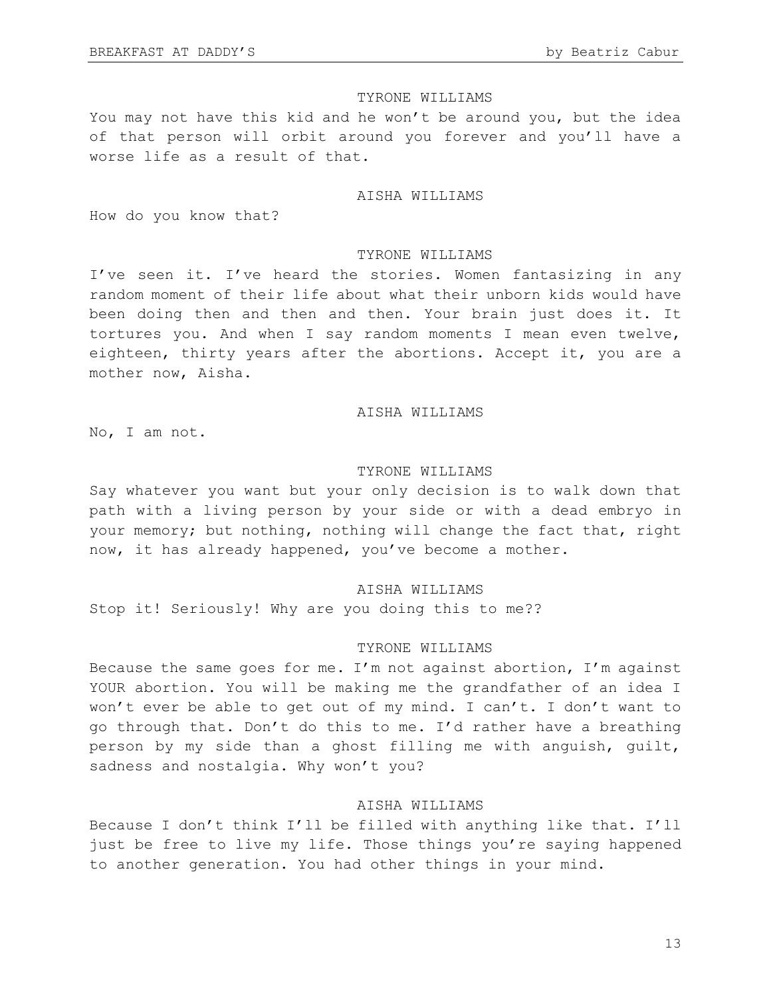## TYRONE WILLIAMS

You may not have this kid and he won't be around you, but the idea of that person will orbit around you forever and you'll have a worse life as a result of that.

### AISHA WILLIAMS

How do you know that?

### TYRONE WILLIAMS

I've seen it. I've heard the stories. Women fantasizing in any random moment of their life about what their unborn kids would have been doing then and then and then. Your brain just does it. It tortures you. And when I say random moments I mean even twelve, eighteen, thirty years after the abortions. Accept it, you are a mother now, Aisha.

### AISHA WILLIAMS

No, I am not.

#### TYRONE WILLIAMS

Say whatever you want but your only decision is to walk down that path with a living person by your side or with a dead embryo in your memory; but nothing, nothing will change the fact that, right now, it has already happened, you've become a mother.

## AISHA WILLIAMS

Stop it! Seriously! Why are you doing this to me??

#### TYRONE WILLIAMS

Because the same goes for me. I'm not against abortion, I'm against YOUR abortion. You will be making me the grandfather of an idea I won't ever be able to get out of my mind. I can't. I don't want to go through that. Don't do this to me. I'd rather have a breathing person by my side than a ghost filling me with anguish, guilt, sadness and nostalgia. Why won't you?

## AISHA WILLIAMS

Because I don't think I'll be filled with anything like that. I'll just be free to live my life. Those things you're saying happened to another generation. You had other things in your mind.